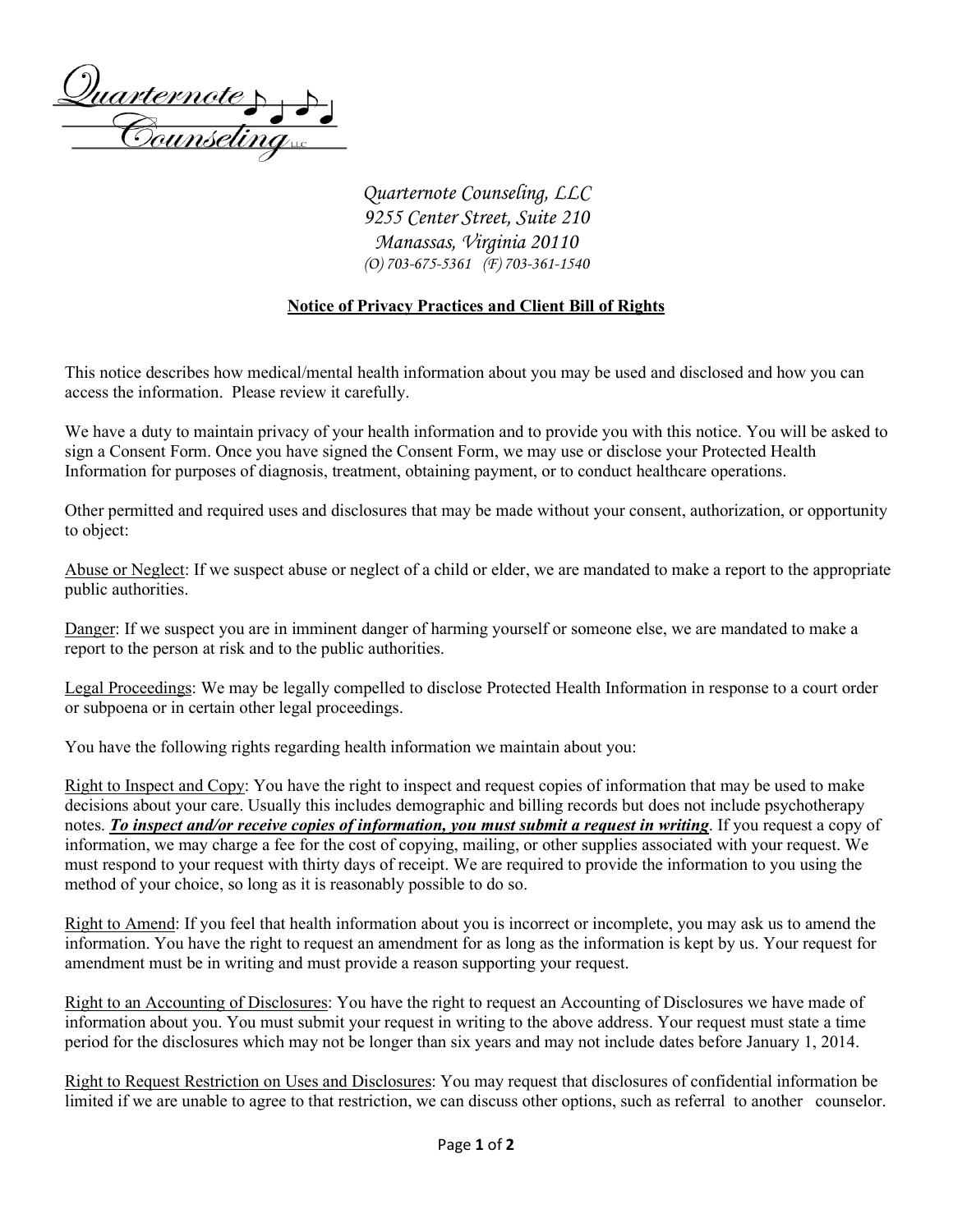Quarternote > >

*Quarternote Counseling, LLC 9255 Center Street, Suite 210 Manassas, Virginia 20110 (O) 703-675-5361 (F) 703-361-1540*

## **Notice of Privacy Practices and Client Bill of Rights**

This notice describes how medical/mental health information about you may be used and disclosed and how you can access the information. Please review it carefully.

We have a duty to maintain privacy of your health information and to provide you with this notice. You will be asked to sign a Consent Form. Once you have signed the Consent Form, we may use or disclose your Protected Health Information for purposes of diagnosis, treatment, obtaining payment, or to conduct healthcare operations.

Other permitted and required uses and disclosures that may be made without your consent, authorization, or opportunity to object:

Abuse or Neglect: If we suspect abuse or neglect of a child or elder, we are mandated to make a report to the appropriate public authorities.

Danger: If we suspect you are in imminent danger of harming yourself or someone else, we are mandated to make a report to the person at risk and to the public authorities.

Legal Proceedings: We may be legally compelled to disclose Protected Health Information in response to a court order or subpoena or in certain other legal proceedings.

You have the following rights regarding health information we maintain about you:

Right to Inspect and Copy: You have the right to inspect and request copies of information that may be used to make decisions about your care. Usually this includes demographic and billing records but does not include psychotherapy notes. *To inspect and/or receive copies of information, you must submit a request in writing*. If you request a copy of information, we may charge a fee for the cost of copying, mailing, or other supplies associated with your request. We must respond to your request with thirty days of receipt. We are required to provide the information to you using the method of your choice, so long as it is reasonably possible to do so.

Right to Amend: If you feel that health information about you is incorrect or incomplete, you may ask us to amend the information. You have the right to request an amendment for as long as the information is kept by us. Your request for amendment must be in writing and must provide a reason supporting your request.

Right to an Accounting of Disclosures: You have the right to request an Accounting of Disclosures we have made of information about you. You must submit your request in writing to the above address. Your request must state a time period for the disclosures which may not be longer than six years and may not include dates before January 1, 2014.

Right to Request Restriction on Uses and Disclosures: You may request that disclosures of confidential information be limited if we are unable to agree to that restriction, we can discuss other options, such as referral to another counselor.